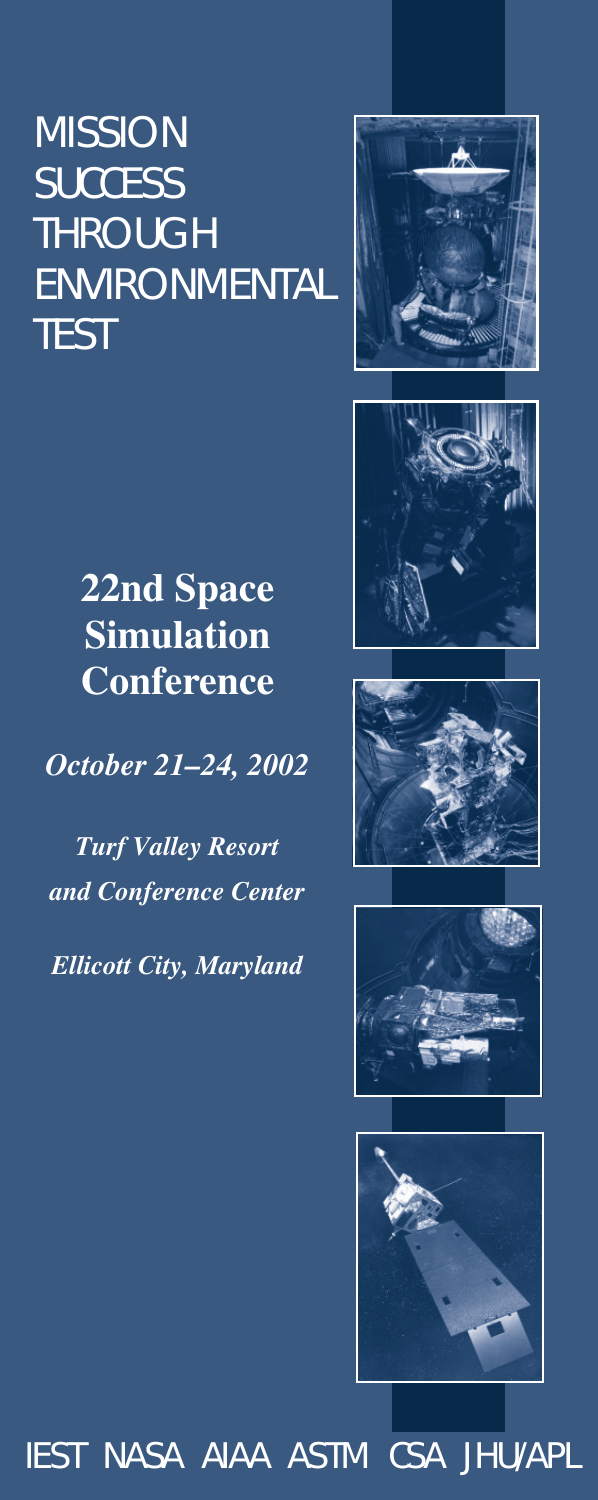# **MISSION SUCCESS** THROUGH **ENVIRONMENTAL TEST**





*October 21–24, 2002*

*Turf Valley Resort and Conference Center*

*Ellicott City, Maryland*









IEST NASA AIAA ASTM CSA JHU/APL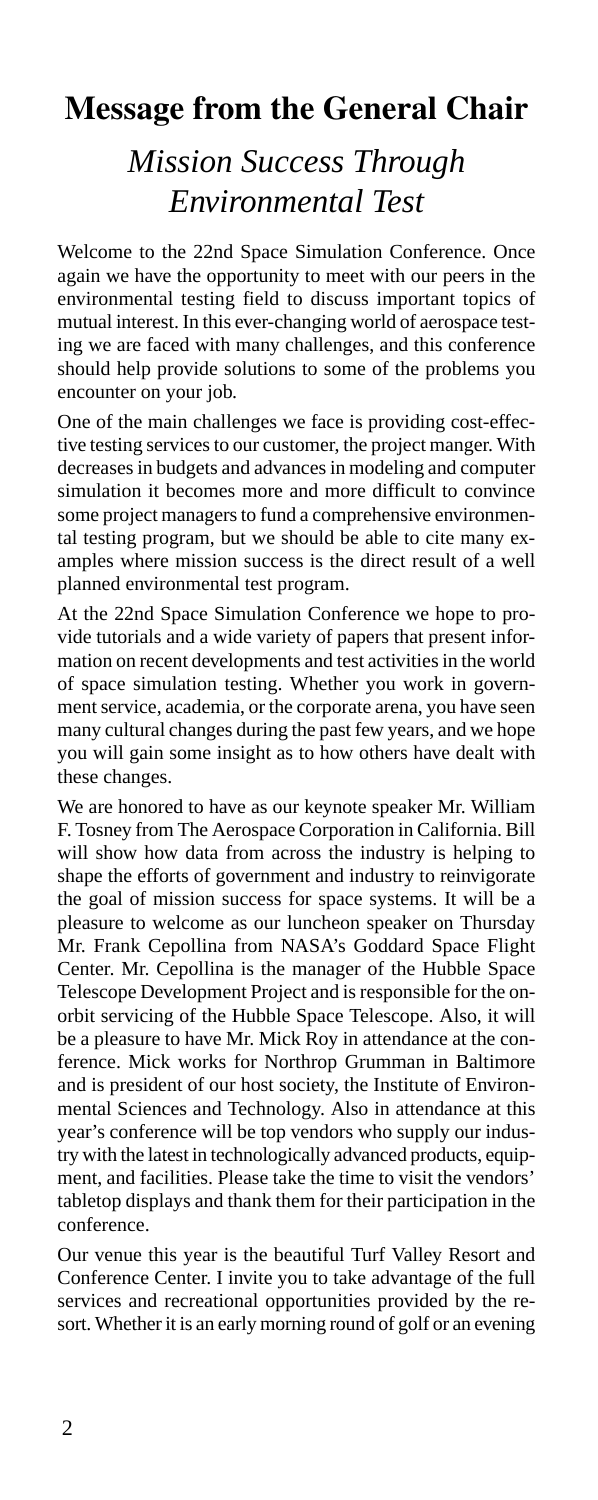## **Message from the General Chair**

## *Mission Success Through Environmental Test*

Welcome to the 22nd Space Simulation Conference. Once again we have the opportunity to meet with our peers in the environmental testing field to discuss important topics of mutual interest. In this ever-changing world of aerospace testing we are faced with many challenges, and this conference should help provide solutions to some of the problems you encounter on your job.

One of the main challenges we face is providing cost-effective testing services to our customer, the project manger. With decreases in budgets and advances in modeling and computer simulation it becomes more and more difficult to convince some project managers to fund a comprehensive environmental testing program, but we should be able to cite many examples where mission success is the direct result of a well planned environmental test program.

At the 22nd Space Simulation Conference we hope to provide tutorials and a wide variety of papers that present information on recent developments and test activities in the world of space simulation testing. Whether you work in government service, academia, or the corporate arena, you have seen many cultural changes during the past few years, and we hope you will gain some insight as to how others have dealt with these changes.

We are honored to have as our keynote speaker Mr. William F. Tosney from The Aerospace Corporation in California. Bill will show how data from across the industry is helping to shape the efforts of government and industry to reinvigorate the goal of mission success for space systems. It will be a pleasure to welcome as our luncheon speaker on Thursday Mr. Frank Cepollina from NASA's Goddard Space Flight Center. Mr. Cepollina is the manager of the Hubble Space Telescope Development Project and is responsible for the onorbit servicing of the Hubble Space Telescope. Also, it will be a pleasure to have Mr. Mick Roy in attendance at the conference. Mick works for Northrop Grumman in Baltimore and is president of our host society, the Institute of Environmental Sciences and Technology. Also in attendance at this year's conference will be top vendors who supply our industry with the latest in technologically advanced products, equipment, and facilities. Please take the time to visit the vendors' tabletop displays and thank them for their participation in the conference.

Our venue this year is the beautiful Turf Valley Resort and Conference Center. I invite you to take advantage of the full services and recreational opportunities provided by the resort. Whether it is an early morning round of golf or an evening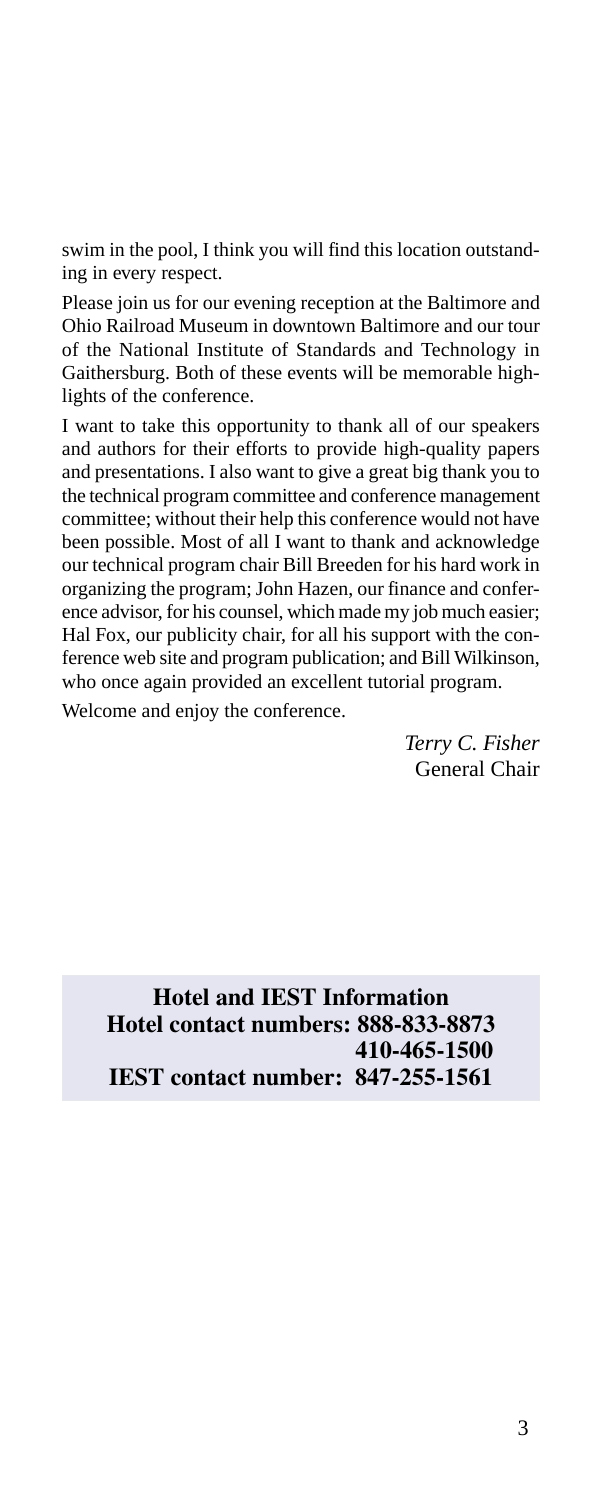swim in the pool, I think you will find this location outstanding in every respect.

Please join us for our evening reception at the Baltimore and Ohio Railroad Museum in downtown Baltimore and our tour of the National Institute of Standards and Technology in Gaithersburg. Both of these events will be memorable highlights of the conference.

I want to take this opportunity to thank all of our speakers and authors for their efforts to provide high-quality papers and presentations. I also want to give a great big thank you to the technical program committee and conference management committee; without their help this conference would not have been possible. Most of all I want to thank and acknowledge our technical program chair Bill Breeden for his hard work in organizing the program; John Hazen, our finance and conference advisor, for his counsel, which made my job much easier; Hal Fox, our publicity chair, for all his support with the conference web site and program publication; and Bill Wilkinson, who once again provided an excellent tutorial program.

Welcome and enjoy the conference.

*Terry C. Fisher* General Chair

**Hotel and IEST Information Hotel contact numbers: 888-833-8873 410-465-1500 IEST contact number: 847-255-1561**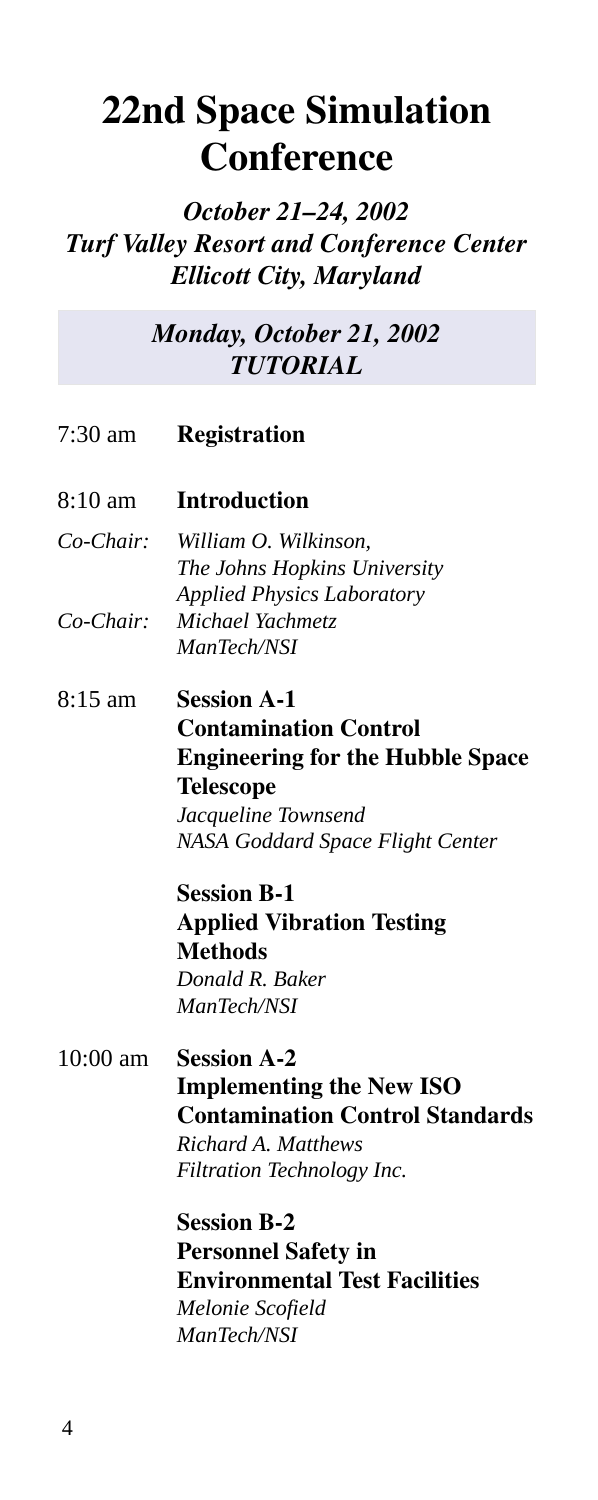# **22nd Space Simulation Conference**

*October 21–24, 2002 Turf Valley Resort and Conference Center Ellicott City, Maryland*

> *Monday, October 21, 2002 TUTORIAL*

7:30 am **Registration**

#### 8:10 am **Introduction**

- *Co-Chair: William O. Wilkinson, The Johns Hopkins University Applied Physics Laboratory Co-Chair: Michael Yachmetz ManTech/NSI*
- 8:15 am **Session A-1 Contamination Control Engineering for the Hubble Space Telescope** *Jacqueline Townsend NASA Goddard Space Flight Center*

**Session B-1 Applied Vibration Testing Methods** *Donald R. Baker ManTech/NSI*

### 10:00 am **Session A-2 Implementing the New ISO Contamination Control Standards** *Richard A. Matthews*

*Filtration Technology Inc.*

**Session B-2 Personnel Safety in Environmental Test Facilities** *Melonie Scofield ManTech/NSI*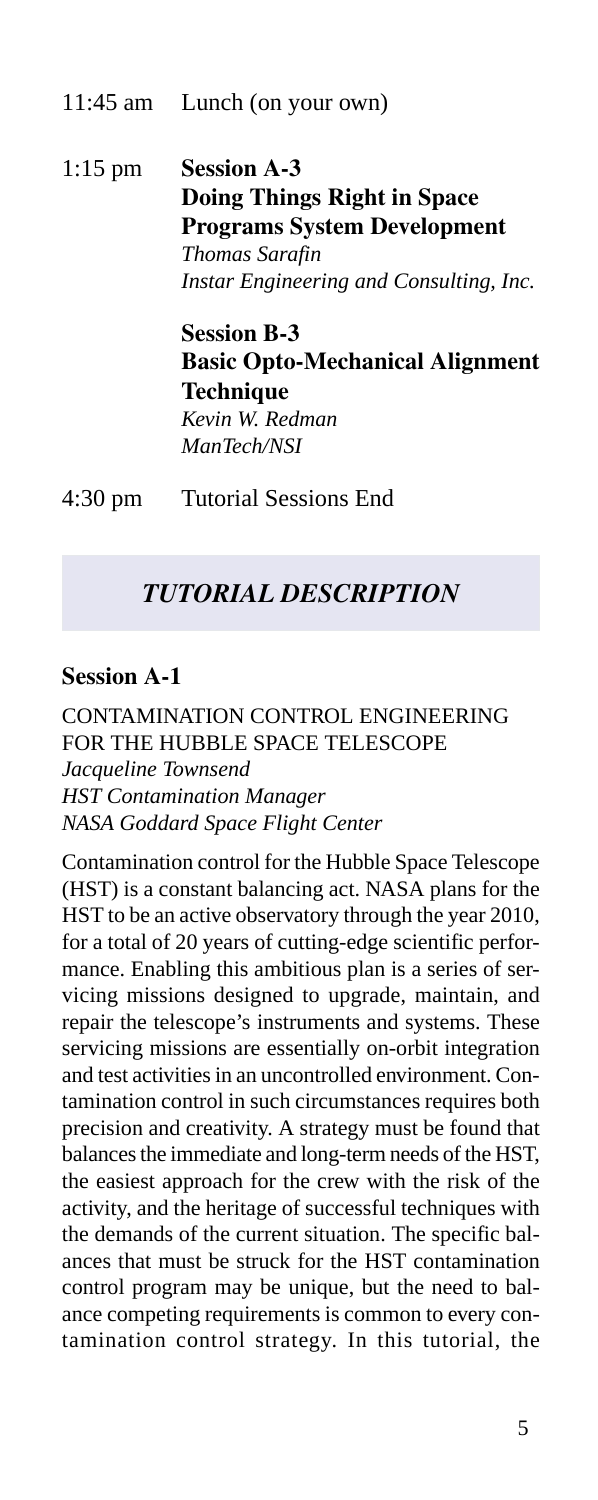#### 11:45 am Lunch (on your own)

1:15 pm **Session A-3 Doing Things Right in Space Programs System Development** *Thomas Sarafin Instar Engineering and Consulting, Inc.*

> **Session B-3 Basic Opto-Mechanical Alignment Technique** *Kevin W. Redman ManTech/NSI*

4:30 pm Tutorial Sessions End

### *TUTORIAL DESCRIPTION*

### **Session A-1**

CONTAMINATION CONTROL ENGINEERING FOR THE HUBBLE SPACE TELESCOPE *Jacqueline Townsend HST Contamination Manager NASA Goddard Space Flight Center*

Contamination control for the Hubble Space Telescope (HST) is a constant balancing act. NASA plans for the HST to be an active observatory through the year 2010, for a total of 20 years of cutting-edge scientific performance. Enabling this ambitious plan is a series of servicing missions designed to upgrade, maintain, and repair the telescope's instruments and systems. These servicing missions are essentially on-orbit integration and test activities in an uncontrolled environment. Contamination control in such circumstances requires both precision and creativity. A strategy must be found that balances the immediate and long-term needs of the HST, the easiest approach for the crew with the risk of the activity, and the heritage of successful techniques with the demands of the current situation. The specific balances that must be struck for the HST contamination control program may be unique, but the need to balance competing requirements is common to every contamination control strategy. In this tutorial, the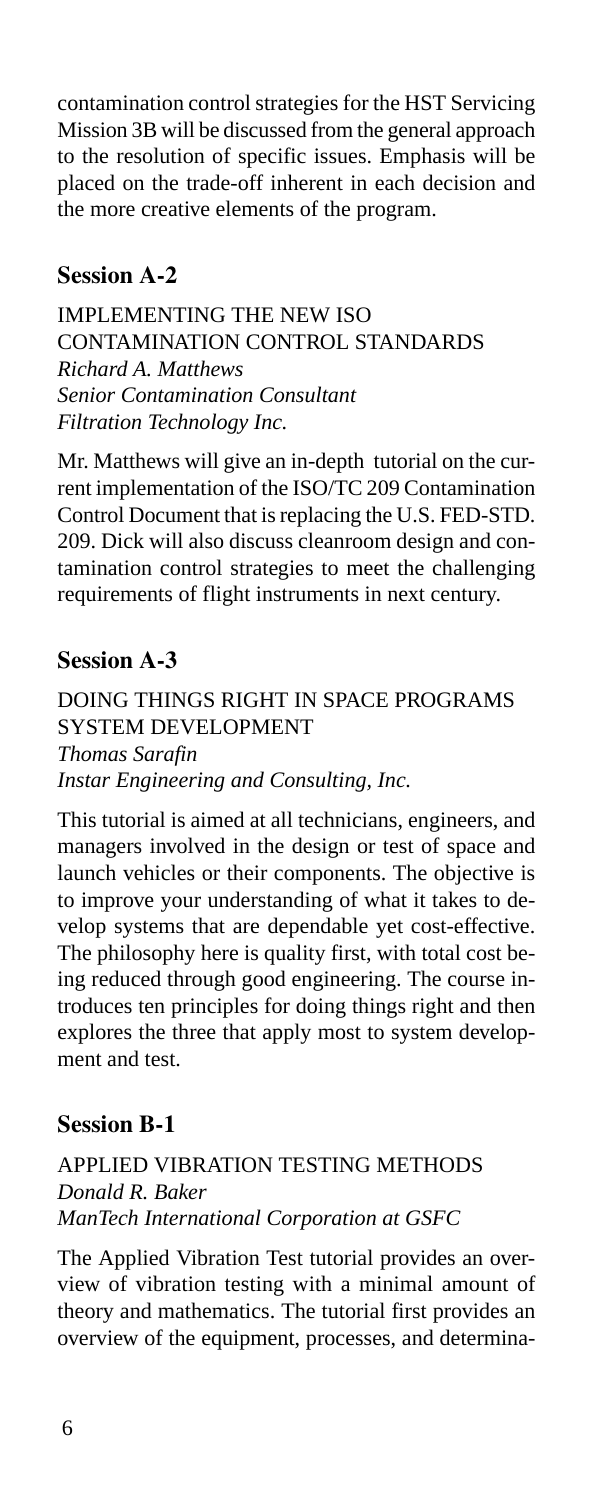contamination control strategies for the HST Servicing Mission 3B will be discussed from the general approach to the resolution of specific issues. Emphasis will be placed on the trade-off inherent in each decision and the more creative elements of the program.

### **Session A-2**

IMPLEMENTING THE NEW ISO CONTAMINATION CONTROL STANDARDS *Richard A. Matthews Senior Contamination Consultant Filtration Technology Inc.*

Mr. Matthews will give an in-depth tutorial on the current implementation of the ISO/TC 209 Contamination Control Document that is replacing the U.S. FED-STD. 209. Dick will also discuss cleanroom design and contamination control strategies to meet the challenging requirements of flight instruments in next century.

### **Session A-3**

DOING THINGS RIGHT IN SPACE PROGRAMS SYSTEM DEVELOPMENT *Thomas Sarafin Instar Engineering and Consulting, Inc.*

This tutorial is aimed at all technicians, engineers, and managers involved in the design or test of space and launch vehicles or their components. The objective is to improve your understanding of what it takes to develop systems that are dependable yet cost-effective. The philosophy here is quality first, with total cost being reduced through good engineering. The course introduces ten principles for doing things right and then explores the three that apply most to system development and test.

### **Session B-1**

### APPLIED VIBRATION TESTING METHODS *Donald R. Baker ManTech International Corporation at GSFC*

The Applied Vibration Test tutorial provides an overview of vibration testing with a minimal amount of theory and mathematics. The tutorial first provides an overview of the equipment, processes, and determina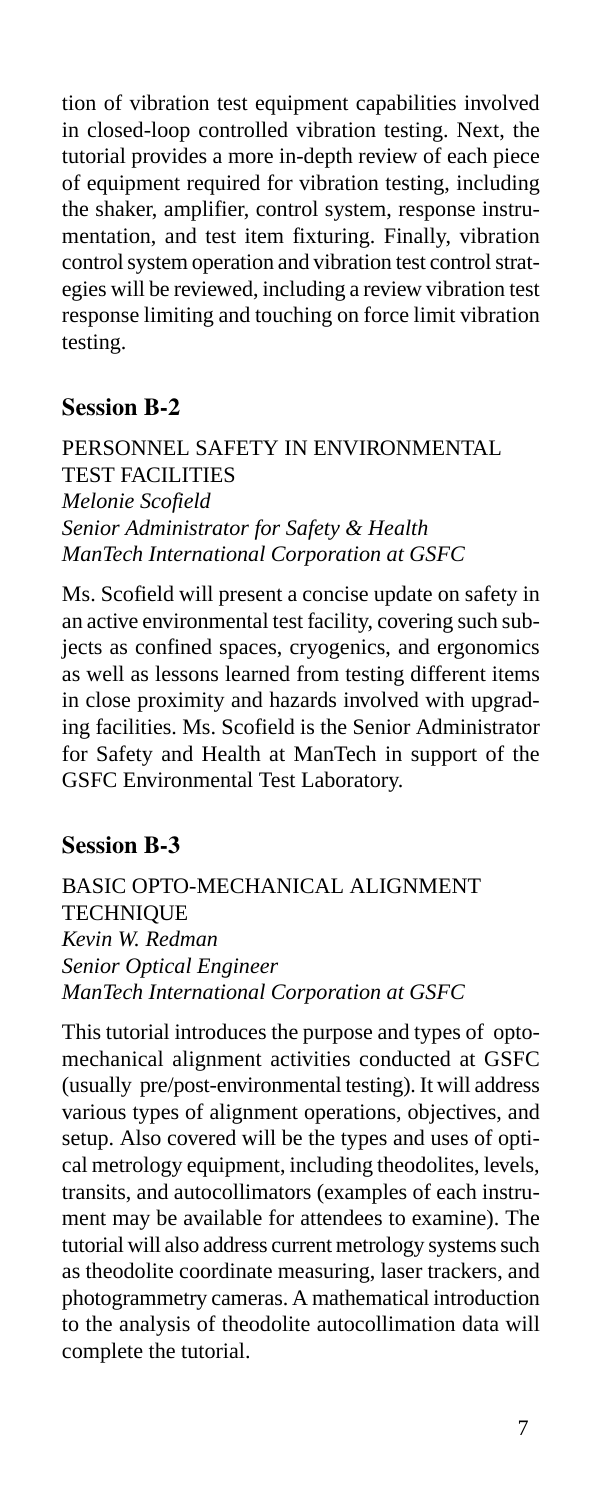tion of vibration test equipment capabilities involved in closed-loop controlled vibration testing. Next, the tutorial provides a more in-depth review of each piece of equipment required for vibration testing, including the shaker, amplifier, control system, response instrumentation, and test item fixturing. Finally, vibration control system operation and vibration test control strategies will be reviewed, including a review vibration test response limiting and touching on force limit vibration testing.

### **Session B-2**

PERSONNEL SAFETY IN ENVIRONMENTAL TEST FACILITIES *Melonie Scofield Senior Administrator for Safety & Health ManTech International Corporation at GSFC*

Ms. Scofield will present a concise update on safety in an active environmental test facility, covering such subjects as confined spaces, cryogenics, and ergonomics as well as lessons learned from testing different items in close proximity and hazards involved with upgrading facilities. Ms. Scofield is the Senior Administrator for Safety and Health at ManTech in support of the GSFC Environmental Test Laboratory.

### **Session B-3**

BASIC OPTO-MECHANICAL ALIGNMENT **TECHNIQUE** *Kevin W. Redman Senior Optical Engineer ManTech International Corporation at GSFC*

This tutorial introduces the purpose and types of optomechanical alignment activities conducted at GSFC (usually pre/post-environmental testing). It will address various types of alignment operations, objectives, and setup. Also covered will be the types and uses of optical metrology equipment, including theodolites, levels, transits, and autocollimators (examples of each instrument may be available for attendees to examine). The tutorial will also address current metrology systems such as theodolite coordinate measuring, laser trackers, and photogrammetry cameras. A mathematical introduction to the analysis of theodolite autocollimation data will complete the tutorial.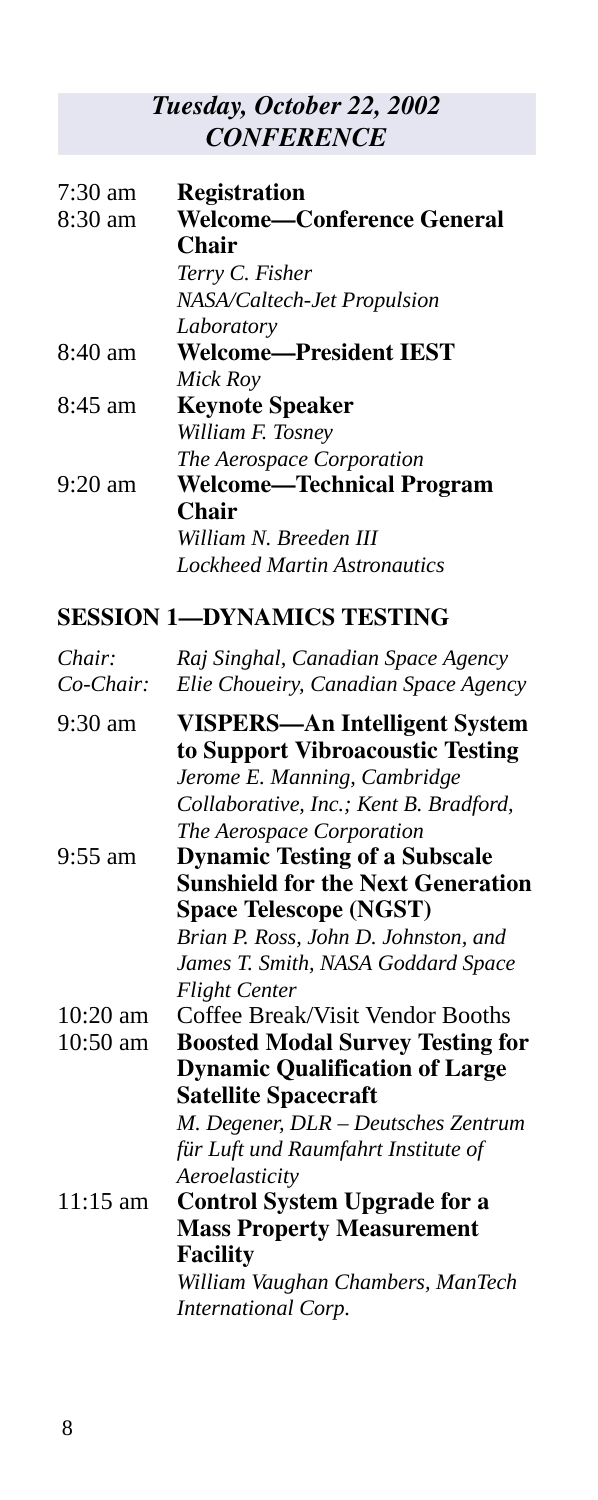### *Tuesday, October 22, 2002 CONFERENCE*

| $7:30 \text{ am}$ | <b>Registration</b>              |
|-------------------|----------------------------------|
| $8:30$ am         | Welcome—Conference General       |
|                   | Chair                            |
|                   | Terry C. Fisher                  |
|                   | NASA/Caltech-Jet Propulsion      |
|                   | Laboratory                       |
| $8:40 \text{ am}$ | Welcome—President IEST           |
|                   | Mick Roy                         |
| $8:45$ am         | <b>Keynote Speaker</b>           |
|                   | William F. Tosney                |
|                   | The Aerospace Corporation        |
| $9:20$ am         | <b>Welcome—Technical Program</b> |
|                   | Chair                            |
|                   | William N. Breeden III           |
|                   | Lockheed Martin Astronautics     |

### **SESSION 1—DYNAMICS TESTING**

| Chair:     | Raj Singhal, Canadian Space Agency                                       |
|------------|--------------------------------------------------------------------------|
| $Co-Chair$ | Elie Choueiry, Canadian Space Agency                                     |
| 9:30 am    | <b>VISPERS—An Intelligent System</b><br>to Support Vibroacoustic Testing |
|            | Jerome E. Manning, Cambridge                                             |
|            | Collaborative, Inc.; Kent B. Bradford,                                   |
|            | The Aerospace Corporation                                                |
| 9:55 am    | <b>Dynamic Testing of a Subscale</b>                                     |
|            | <b>Sunshield for the Next Generation</b>                                 |
|            | <b>Space Telescope (NGST)</b>                                            |
|            | Brian P. Ross, John D. Johnston, and                                     |
|            | James T. Smith, NASA Goddard Space                                       |
|            | <b>Flight Center</b>                                                     |
| $10:20$ am | Coffee Break/Visit Vendor Booths                                         |
| 10:50 am   | <b>Boosted Modal Survey Testing for</b>                                  |
|            | <b>Dynamic Qualification of Large</b>                                    |
|            | <b>Satellite Spacecraft</b>                                              |
|            | M. Degener, DLR - Deutsches Zentrum                                      |
|            | für Luft und Raumfahrt Institute of                                      |
|            | Aeroelasticity                                                           |
| $11:15$ am | <b>Control System Upgrade for a</b>                                      |
|            | <b>Mass Property Measurement</b>                                         |
|            | <b>Facility</b>                                                          |
|            | William Vaughan Chambers, ManTech                                        |
|            | International Corp.                                                      |
|            |                                                                          |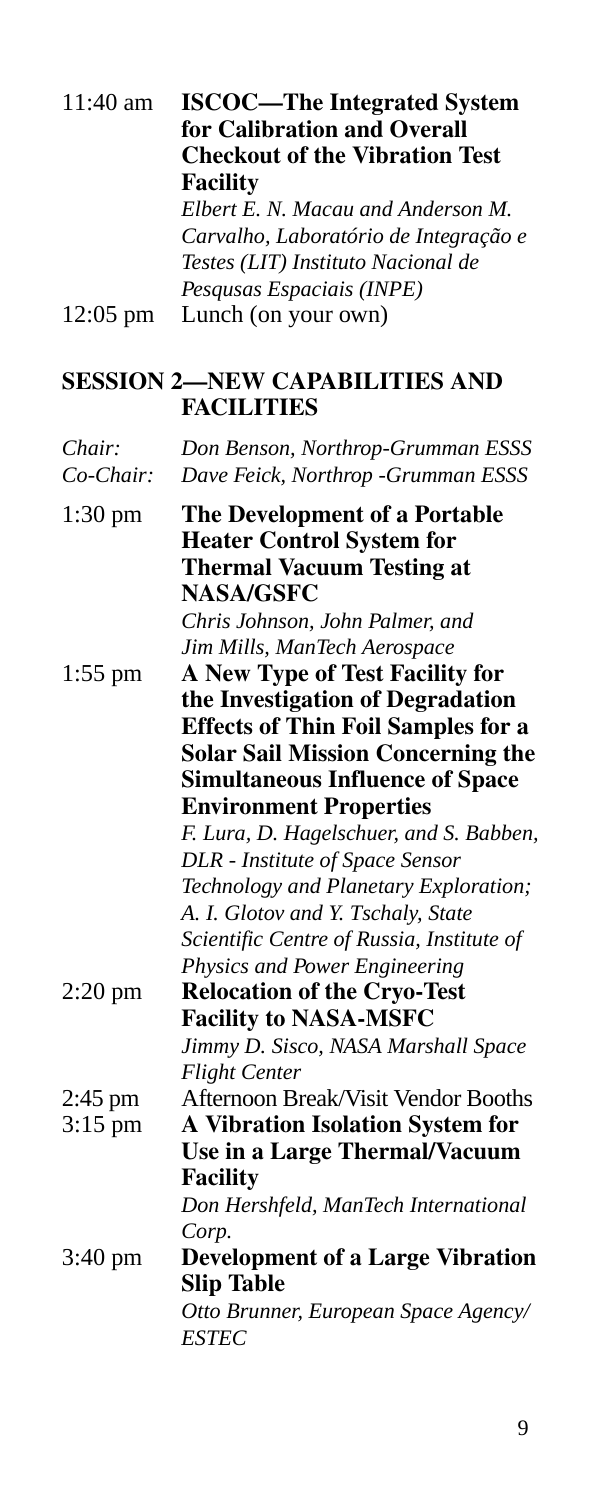| 11:40 am             | <b>ISCOC-The Integrated System</b><br>for Calibration and Overall<br><b>Checkout of the Vibration Test</b><br><b>Facility</b><br>Elbert E. N. Macau and Anderson M.<br>Carvalho, Laboratório de Integração e<br>Testes (LIT) Instituto Nacional de                                                                                                                                                                                                                                                                 |
|----------------------|--------------------------------------------------------------------------------------------------------------------------------------------------------------------------------------------------------------------------------------------------------------------------------------------------------------------------------------------------------------------------------------------------------------------------------------------------------------------------------------------------------------------|
| $12:05 \text{ pm}$   | Pesqusas Espaciais (INPE)<br>Lunch (on your own)                                                                                                                                                                                                                                                                                                                                                                                                                                                                   |
|                      | <b>SESSION 2-NEW CAPABILITIES AND</b><br><b>FACILITIES</b>                                                                                                                                                                                                                                                                                                                                                                                                                                                         |
| Chair:<br>$Co-Chair$ | Don Benson, Northrop-Grumman ESSS<br>Dave Feick, Northrop - Grumman ESSS                                                                                                                                                                                                                                                                                                                                                                                                                                           |
| $1:30 \text{ pm}$    | The Development of a Portable<br><b>Heater Control System for</b><br><b>Thermal Vacuum Testing at</b><br><b>NASA/GSFC</b><br>Chris Johnson, John Palmer, and                                                                                                                                                                                                                                                                                                                                                       |
| $1:55$ pm            | Jim Mills, ManTech Aerospace<br>A New Type of Test Facility for<br>the Investigation of Degradation<br><b>Effects of Thin Foil Samples for a</b><br><b>Solar Sail Mission Concerning the</b><br><b>Simultaneous Influence of Space</b><br><b>Environment Properties</b><br>F. Lura, D. Hagelschuer, and S. Babben,<br>DLR - Institute of Space Sensor<br>Technology and Planetary Exploration;<br>A. I. Glotov and Y. Tschaly, State<br>Scientific Centre of Russia, Institute of<br>Physics and Power Engineering |
| $2:20$ pm            | <b>Relocation of the Cryo-Test</b><br><b>Facility to NASA-MSFC</b><br>Jimmy D. Sisco, NASA Marshall Space<br><b>Flight Center</b>                                                                                                                                                                                                                                                                                                                                                                                  |
| 2:45 pm<br>$3:15$ pm | Afternoon Break/Visit Vendor Booths<br><b>A Vibration Isolation System for</b><br>Use in a Large Thermal/Vacuum<br><b>Facility</b><br>Don Hershfeld, ManTech International<br>Corp.                                                                                                                                                                                                                                                                                                                                |
| $3:40 \text{ pm}$    | <b>Development of a Large Vibration</b><br><b>Slip Table</b><br>Otto Brunner, European Space Agency/<br><b>ESTEC</b>                                                                                                                                                                                                                                                                                                                                                                                               |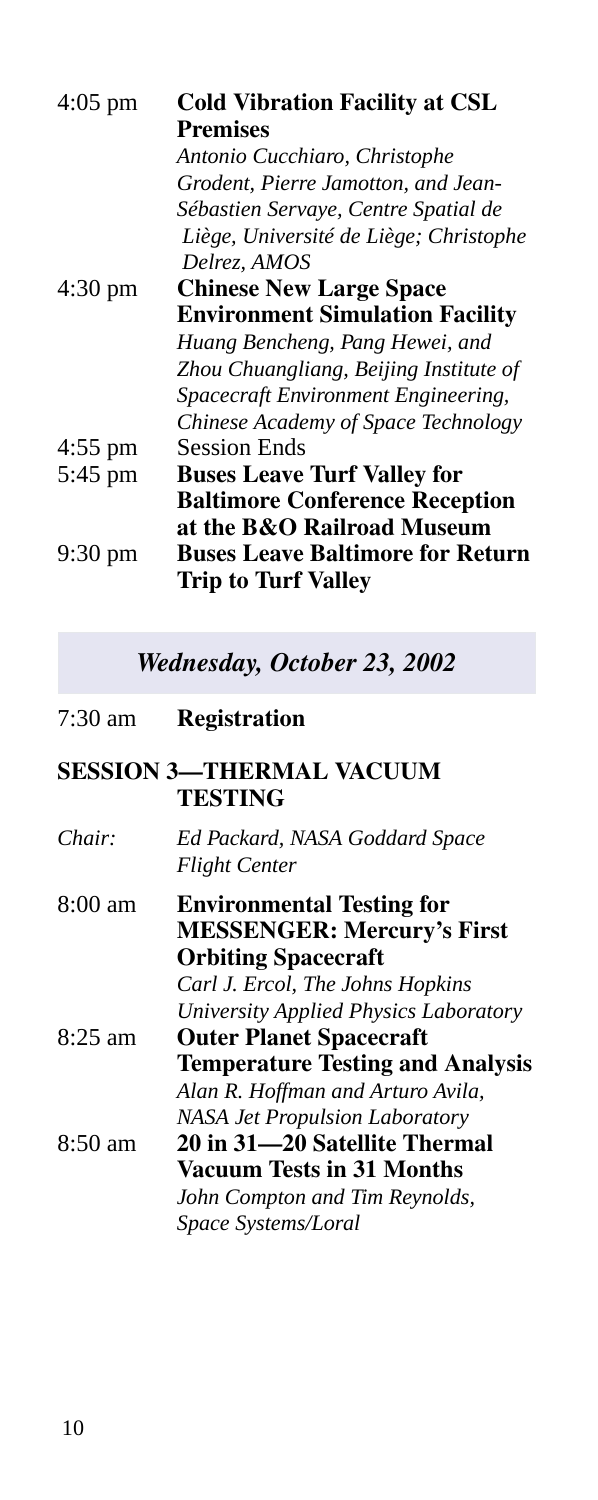| <b>Cold Vibration Facility at CSL</b><br>Premises                     |
|-----------------------------------------------------------------------|
| Antonio Cucchiaro, Christophe                                         |
| Grodent, Pierre Jamotton, and Jean-                                   |
| Sébastien Servaye, Centre Spatial de                                  |
| Liège, Université de Liège; Christophe                                |
| Delrez, AMOS                                                          |
| <b>Chinese New Large Space</b>                                        |
| <b>Environment Simulation Facility</b>                                |
| Huang Bencheng, Pang Hewei, and                                       |
| Zhou Chuangliang, Beijing Institute of                                |
| Spacecraft Environment Engineering,                                   |
| Chinese Academy of Space Technology                                   |
| <b>Session Ends</b>                                                   |
| <b>Buses Leave Turf Valley for</b>                                    |
| <b>Baltimore Conference Reception</b>                                 |
| at the B&O Railroad Museum                                            |
| <b>Buses Leave Baltimore for Return</b><br><b>Trip to Turf Valley</b> |
|                                                                       |

*Wednesday, October 23, 2002*

7:30 am **Registration**

### **SESSION 3—THERMAL VACUUM TESTING**

| Chair:            | Ed Packard, NASA Goddard Space<br><b>Flight Center</b>                                                                                                  |
|-------------------|---------------------------------------------------------------------------------------------------------------------------------------------------------|
| $8:00 \text{ am}$ | <b>Environmental Testing for</b><br><b>MESSENGER: Mercury's First</b><br><b>Orbiting Spacecraft</b>                                                     |
|                   | Carl J. Ercol, The Johns Hopkins<br>University Applied Physics Laboratory                                                                               |
| $8:25$ am         | <b>Outer Planet Spacecraft</b><br><b>Temperature Testing and Analysis</b><br>Alan R. Hoffman and Arturo Avila,<br><b>NASA Jet Propulsion Laboratory</b> |
| 8:50 am           | 20 in 31—20 Satellite Thermal<br>Vacuum Tests in 31 Months<br>John Compton and Tim Reynolds,<br>Space Systems/Loral                                     |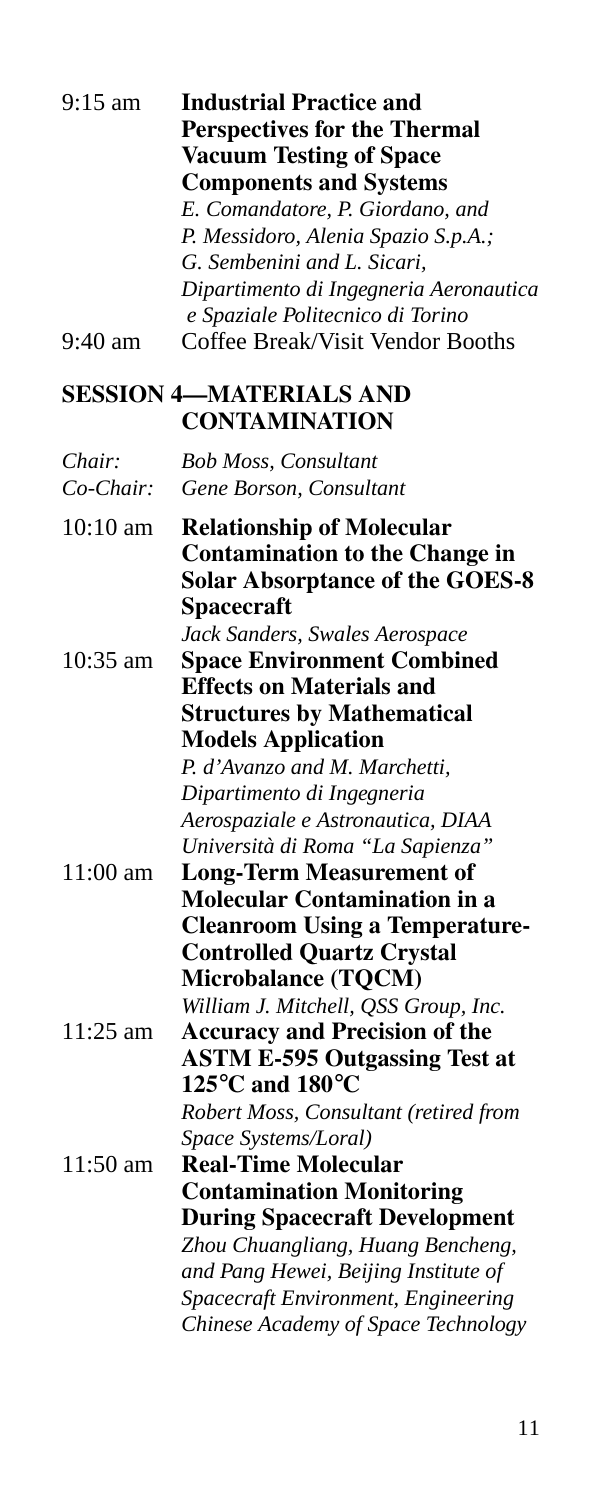| $9:15$ am           | <b>Industrial Practice and</b><br><b>Perspectives for the Thermal</b><br><b>Vacuum Testing of Space</b><br><b>Components and Systems</b><br>E. Comandatore, P. Giordano, and<br>P. Messidoro, Alenia Spazio S.p.A.;<br>G. Sembenini and L. Sicari,<br>Dipartimento di Ingegneria Aeronautica<br>e Spaziale Politecnico di Torino |
|---------------------|----------------------------------------------------------------------------------------------------------------------------------------------------------------------------------------------------------------------------------------------------------------------------------------------------------------------------------|
| $9:40 \text{ am}$   | Coffee Break/Visit Vendor Booths                                                                                                                                                                                                                                                                                                 |
|                     | <b>SESSION 4-MATERIALS AND</b><br><b>CONTAMINATION</b>                                                                                                                                                                                                                                                                           |
| Chair:<br>Co-Chair: | <b>Bob Moss, Consultant</b><br>Gene Borson, Consultant                                                                                                                                                                                                                                                                           |
| $10:10 \text{ am}$  | <b>Relationship of Molecular</b><br><b>Contamination to the Change in</b><br><b>Solar Absorptance of the GOES-8</b><br>Spacecraft<br>Jack Sanders, Swales Aerospace                                                                                                                                                              |
| $10:35$ am          | <b>Space Environment Combined</b><br><b>Effects on Materials and</b><br><b>Structures by Mathematical</b><br><b>Models Application</b><br>P. d'Avanzo and M. Marchetti,<br>Dipartimento di Ingegneria<br>Aerospaziale e Astronautica, DIAA                                                                                       |
| 11:00 am            | Università di Roma "La Sapienza"<br><b>Long-Term Measurement of</b><br><b>Molecular Contamination in a</b><br><b>Cleanroom Using a Temperature-</b><br><b>Controlled Quartz Crystal</b><br>Microbalance (TQCM)<br>William J. Mitchell, QSS Group, Inc.                                                                           |
| $11:25$ am          | <b>Accuracy and Precision of the</b><br><b>ASTM E-595 Outgassing Test at</b><br>125 $\rm{^{\circ}C}$ and 180 $\rm{^{\circ}C}$<br>Robert Moss, Consultant (retired from                                                                                                                                                           |
| $11:50$ am          | Space Systems/Loral)<br><b>Real-Time Molecular</b><br><b>Contamination Monitoring</b><br><b>During Spacecraft Development</b><br>Zhou Chuangliang, Huang Bencheng,<br>and Pang Hewei, Beijing Institute of<br>Spacecraft Environment, Engineering<br>Chinese Academy of Space Technology                                         |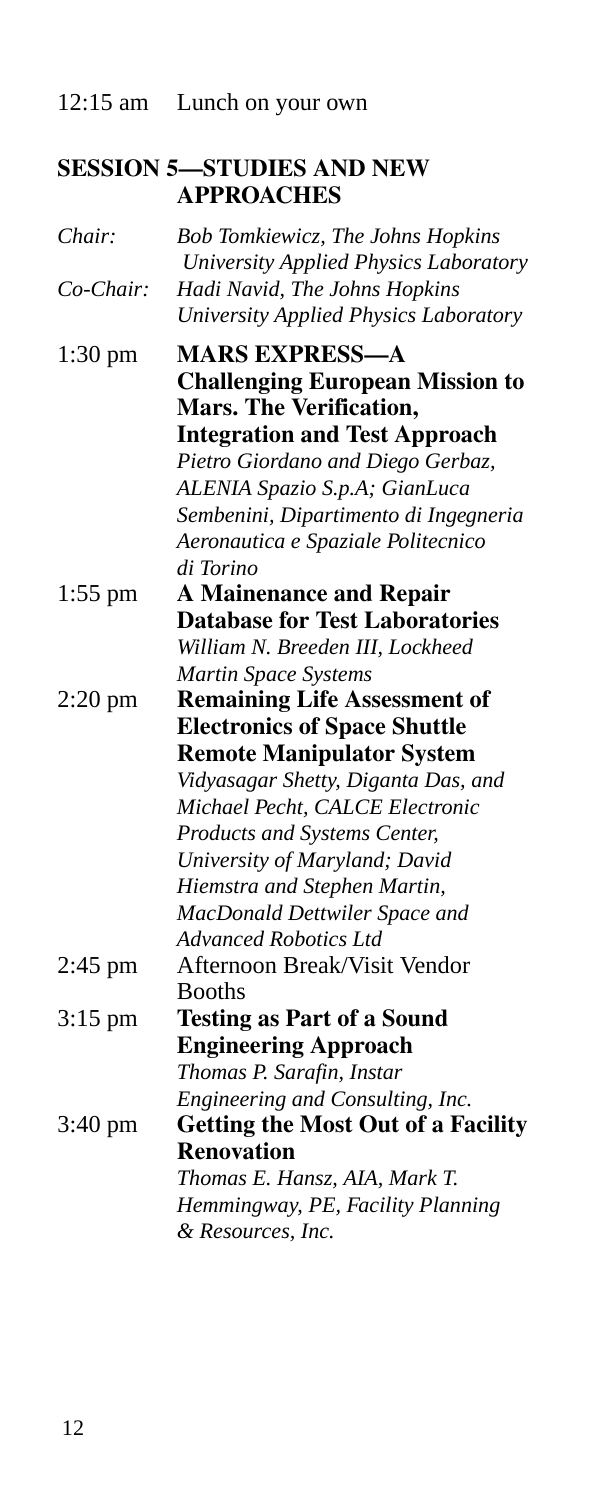12:15 am Lunch on your own

### **SESSION 5—STUDIES AND NEW APPROACHES**

| Chair:            | Bob Tomkiewicz, The Johns Hopkins<br>University Applied Physics Laboratory |
|-------------------|----------------------------------------------------------------------------|
| $Co-Chair$        | Hadi Navid, The Johns Hopkins                                              |
|                   | University Applied Physics Laboratory                                      |
| $1:30$ pm         | <b>MARS EXPRESS-A</b>                                                      |
|                   | <b>Challenging European Mission to</b>                                     |
|                   | <b>Mars. The Verification,</b>                                             |
|                   | <b>Integration and Test Approach</b>                                       |
|                   | Pietro Giordano and Diego Gerbaz,                                          |
|                   | ALENIA Spazio S.p.A; GianLuca                                              |
|                   | Sembenini, Dipartimento di Ingegneria                                      |
|                   | Aeronautica e Spaziale Politecnico                                         |
|                   | di Torino                                                                  |
| $1:55$ pm         | <b>A Mainenance and Repair</b><br><b>Database for Test Laboratories</b>    |
|                   | William N. Breeden III, Lockheed                                           |
|                   | Martin Space Systems                                                       |
| $2:20$ pm         | <b>Remaining Life Assessment of</b>                                        |
|                   | <b>Electronics of Space Shuttle</b>                                        |
|                   | <b>Remote Manipulator System</b>                                           |
|                   | Vidyasagar Shetty, Diganta Das, and                                        |
|                   | Michael Pecht, CALCE Electronic                                            |
|                   | Products and Systems Center,                                               |
|                   | University of Maryland; David                                              |
|                   | Hiemstra and Stephen Martin,                                               |
|                   | MacDonald Dettwiler Space and                                              |
|                   | <b>Advanced Robotics Ltd</b>                                               |
| $2:45$ pm         | Afternoon Break/Visit Vendor                                               |
|                   | <b>Booths</b>                                                              |
| $3:15$ pm         | <b>Testing as Part of a Sound</b>                                          |
|                   | <b>Engineering Approach</b>                                                |
|                   | Thomas P. Sarafin, Instar                                                  |
|                   | Engineering and Consulting, Inc.                                           |
| $3:40 \text{ pm}$ | <b>Getting the Most Out of a Facility</b>                                  |
|                   | <b>Renovation</b>                                                          |
|                   | Thomas E. Hansz, AIA, Mark T.                                              |
|                   | Hemmingway, PE, Facility Planning                                          |
|                   | & Resources, Inc.                                                          |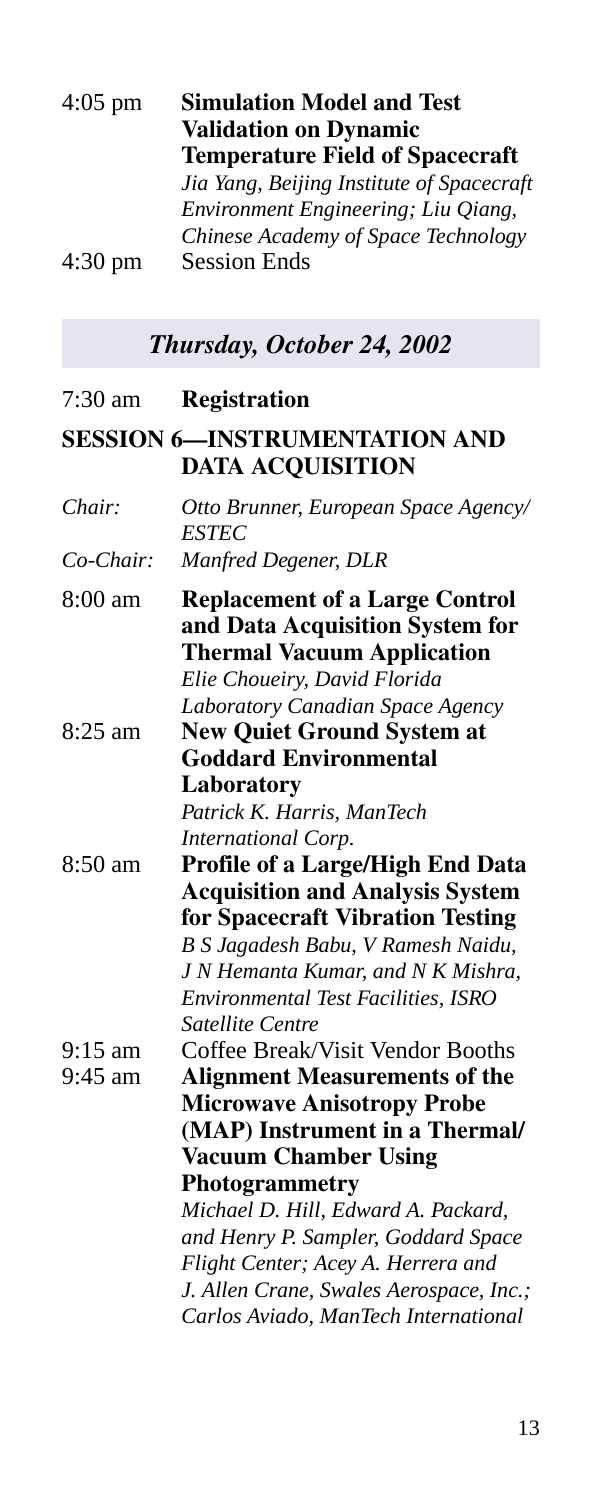| <b>Simulation Model and Test</b>          |
|-------------------------------------------|
| <b>Validation on Dynamic</b>              |
| <b>Temperature Field of Spacecraft</b>    |
| Jia Yang, Beijing Institute of Spacecraft |
| Environment Engineering; Liu Qiang,       |
| Chinese Academy of Space Technology       |
| <b>Session Ends</b>                       |
|                                           |

## *Thursday, October 24, 2002*

| 7:30 am              | <b>Registration</b>                                                                                                                                                                                                                                                                                                  |
|----------------------|----------------------------------------------------------------------------------------------------------------------------------------------------------------------------------------------------------------------------------------------------------------------------------------------------------------------|
|                      | <b>SESSION 6-INSTRUMENTATION AND</b><br><b>DATA ACQUISITION</b>                                                                                                                                                                                                                                                      |
| Chair:               | Otto Brunner, European Space Agency/<br><b>ESTEC</b>                                                                                                                                                                                                                                                                 |
| $Co-Chair$           | Manfred Degener, DLR                                                                                                                                                                                                                                                                                                 |
| $8:00 \text{ am}$    | <b>Replacement of a Large Control</b><br>and Data Acquisition System for<br><b>Thermal Vacuum Application</b><br>Elie Choueiry, David Florida<br>Laboratory Canadian Space Agency                                                                                                                                    |
| $8:25$ am            | <b>New Quiet Ground System at</b><br><b>Goddard Environmental</b>                                                                                                                                                                                                                                                    |
|                      | Laboratory<br>Patrick K. Harris, ManTech<br>International Corp.                                                                                                                                                                                                                                                      |
| 8:50 am              | Profile of a Large/High End Data<br><b>Acquisition and Analysis System</b><br>for Spacecraft Vibration Testing<br>B S Jagadesh Babu, V Ramesh Naidu,<br>J N Hemanta Kumar, and N K Mishra,<br>Environmental Test Facilities, ISRO<br>Satellite Centre                                                                |
| $9:15$ am<br>9:45 am | Coffee Break/Visit Vendor Booths<br><b>Alignment Measurements of the</b><br><b>Microwave Anisotropy Probe</b><br>(MAP) Instrument in a Thermal/<br><b>Vacuum Chamber Using</b><br>Photogrammetry<br>Michael D. Hill, Edward A. Packard,<br>and Henry P. Sampler, Goddard Space<br>Flight Center; Acey A. Herrera and |
|                      | J. Allen Crane, Swales Aerospace, Inc.;<br>Carlos Aviado, ManTech International                                                                                                                                                                                                                                      |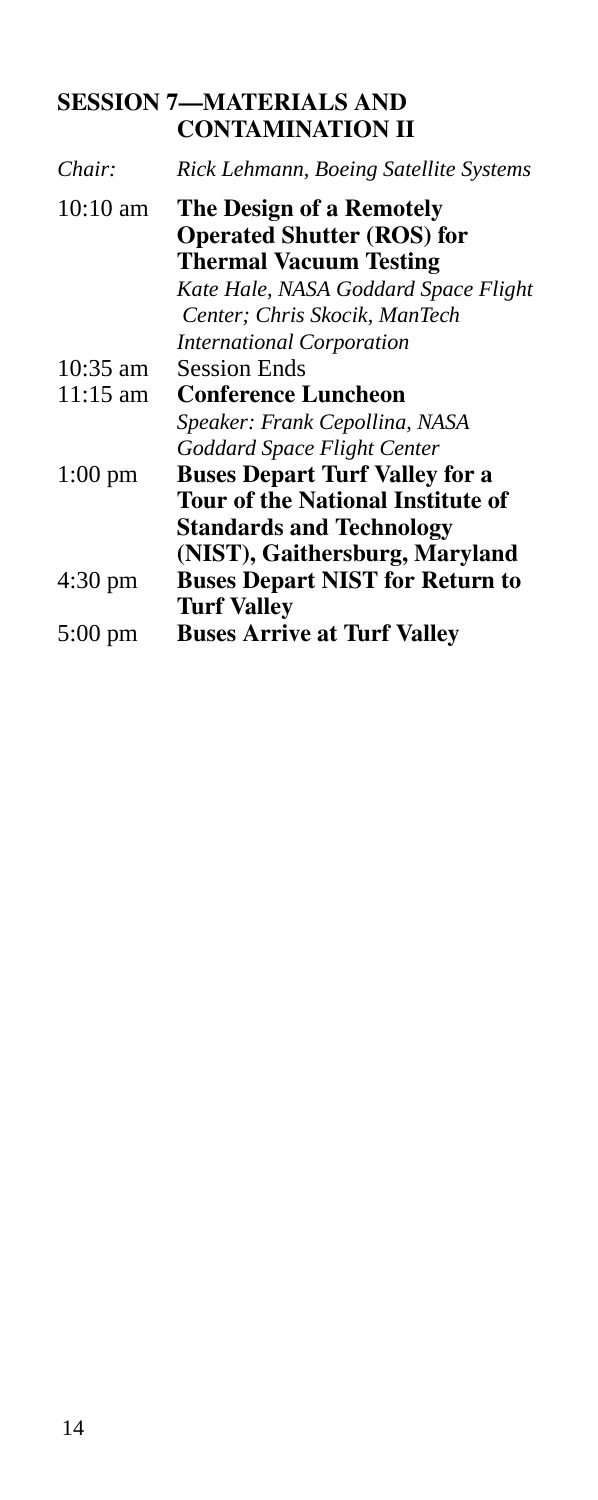### **SESSION 7—MATERIALS AND CONTAMINATION II**

| Chair:             | Rick Lehmann, Boeing Satellite Systems                                                         |
|--------------------|------------------------------------------------------------------------------------------------|
| $10:10 \text{ am}$ | The Design of a Remotely<br><b>Operated Shutter (ROS) for</b><br><b>Thermal Vacuum Testing</b> |
|                    | Kate Hale, NASA Goddard Space Flight<br>Center; Chris Skocik, ManTech                          |
|                    | <i>International Corporation</i>                                                               |
| 10:35 am           | Session Ends                                                                                   |
| $11:15 \text{ am}$ | <b>Conference Luncheon</b>                                                                     |
|                    | Speaker: Frank Cepollina, NASA                                                                 |
|                    | Goddard Space Flight Center                                                                    |
| $1:00 \text{ pm}$  | <b>Buses Depart Turf Valley for a</b>                                                          |
|                    | <b>Tour of the National Institute of</b>                                                       |
|                    | <b>Standards and Technology</b>                                                                |
|                    | (NIST), Gaithersburg, Maryland                                                                 |
| 4:30 pm            | <b>Buses Depart NIST for Return to</b>                                                         |
|                    | <b>Turf Valley</b>                                                                             |
| $5:00 \text{ pm}$  | <b>Buses Arrive at Turf Valley</b>                                                             |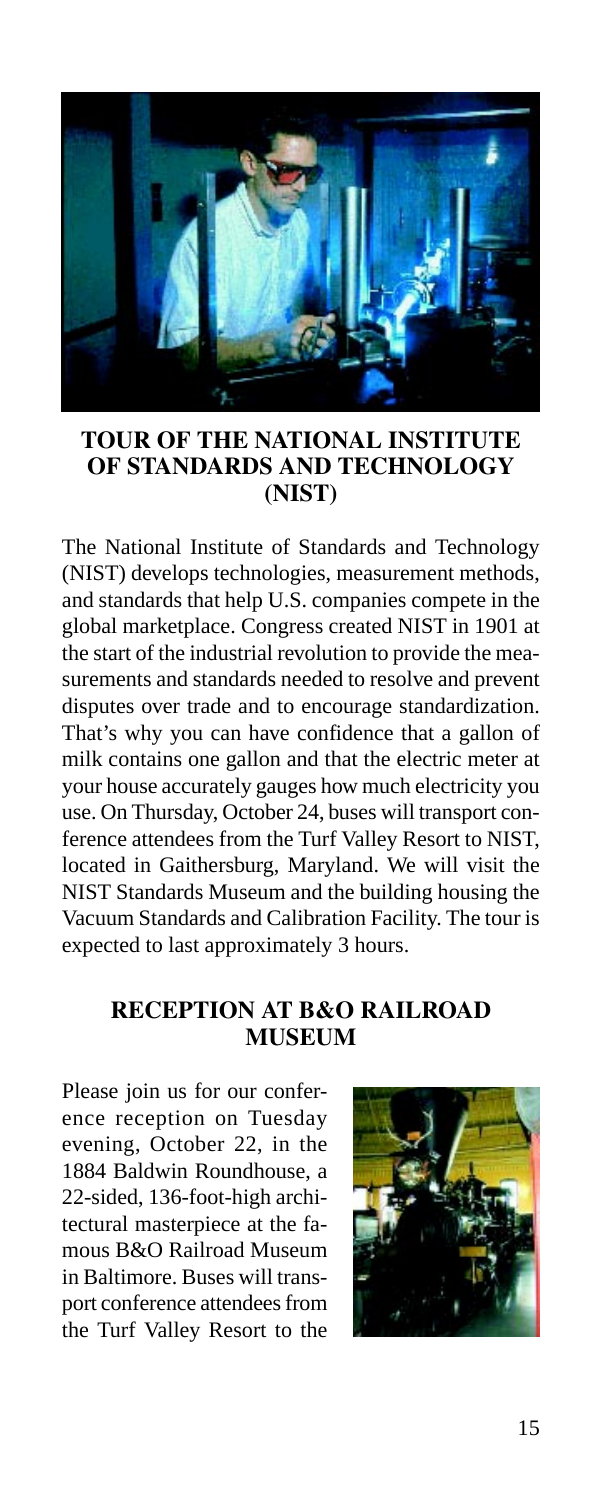

### **TOUR OF THE NATIONAL INSTITUTE OF STANDARDS AND TECHNOLOGY (NIST)**

The National Institute of Standards and Technology (NIST) develops technologies, measurement methods, and standards that help U.S. companies compete in the global marketplace. Congress created NIST in 1901 at the start of the industrial revolution to provide the measurements and standards needed to resolve and prevent disputes over trade and to encourage standardization. That's why you can have confidence that a gallon of milk contains one gallon and that the electric meter at your house accurately gauges how much electricity you use. On Thursday, October 24, buses will transport conference attendees from the Turf Valley Resort to NIST, located in Gaithersburg, Maryland. We will visit the NIST Standards Museum and the building housing the Vacuum Standards and Calibration Facility. The tour is expected to last approximately 3 hours.

### **RECEPTION AT B&O RAILROAD MUSEUM**

Please join us for our conference reception on Tuesday evening, October 22, in the 1884 Baldwin Roundhouse, a 22-sided, 136-foot-high architectural masterpiece at the famous B&O Railroad Museum in Baltimore. Buses will transport conference attendees from the Turf Valley Resort to the

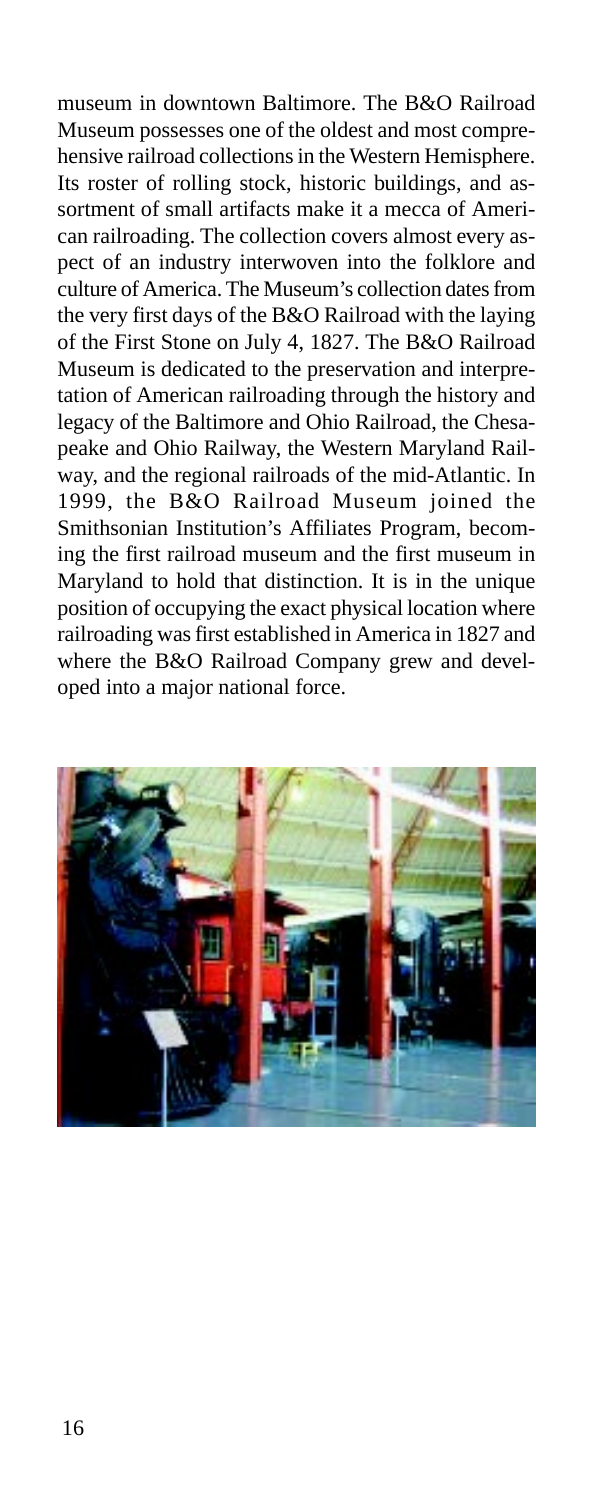museum in downtown Baltimore. The B&O Railroad Museum possesses one of the oldest and most comprehensive railroad collections in the Western Hemisphere. Its roster of rolling stock, historic buildings, and assortment of small artifacts make it a mecca of American railroading. The collection covers almost every aspect of an industry interwoven into the folklore and culture of America. The Museum's collection dates from the very first days of the B&O Railroad with the laying of the First Stone on July 4, 1827. The B&O Railroad Museum is dedicated to the preservation and interpretation of American railroading through the history and legacy of the Baltimore and Ohio Railroad, the Chesapeake and Ohio Railway, the Western Maryland Railway, and the regional railroads of the mid-Atlantic. In 1999, the B&O Railroad Museum joined the Smithsonian Institution's Affiliates Program, becoming the first railroad museum and the first museum in Maryland to hold that distinction. It is in the unique position of occupying the exact physical location where railroading was first established in America in 1827 and where the B&O Railroad Company grew and developed into a major national force.

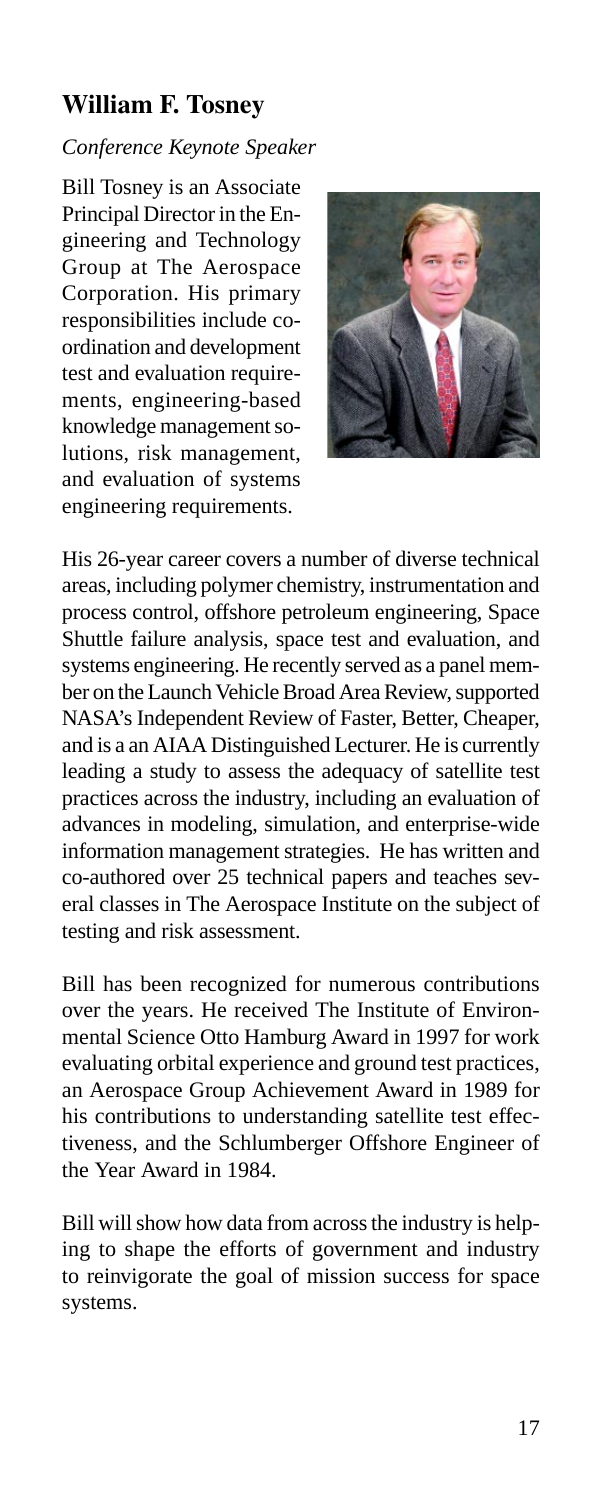### **William F. Tosney**

### *Conference Keynote Speaker*

Bill Tosney is an Associate Principal Director in the Engineering and Technology Group at The Aerospace Corporation. His primary responsibilities include coordination and development test and evaluation requirements, engineering-based knowledge management solutions, risk management, and evaluation of systems engineering requirements.



His 26-year career covers a number of diverse technical areas, including polymer chemistry, instrumentation and process control, offshore petroleum engineering, Space Shuttle failure analysis, space test and evaluation, and systems engineering. He recently served as a panel member on the Launch Vehicle Broad Area Review, supported NASA's Independent Review of Faster, Better, Cheaper, and is a an AIAA Distinguished Lecturer. He is currently leading a study to assess the adequacy of satellite test practices across the industry, including an evaluation of advances in modeling, simulation, and enterprise-wide information management strategies. He has written and co-authored over 25 technical papers and teaches several classes in The Aerospace Institute on the subject of testing and risk assessment.

Bill has been recognized for numerous contributions over the years. He received The Institute of Environmental Science Otto Hamburg Award in 1997 for work evaluating orbital experience and ground test practices, an Aerospace Group Achievement Award in 1989 for his contributions to understanding satellite test effectiveness, and the Schlumberger Offshore Engineer of the Year Award in 1984.

Bill will show how data from across the industry is helping to shape the efforts of government and industry to reinvigorate the goal of mission success for space systems.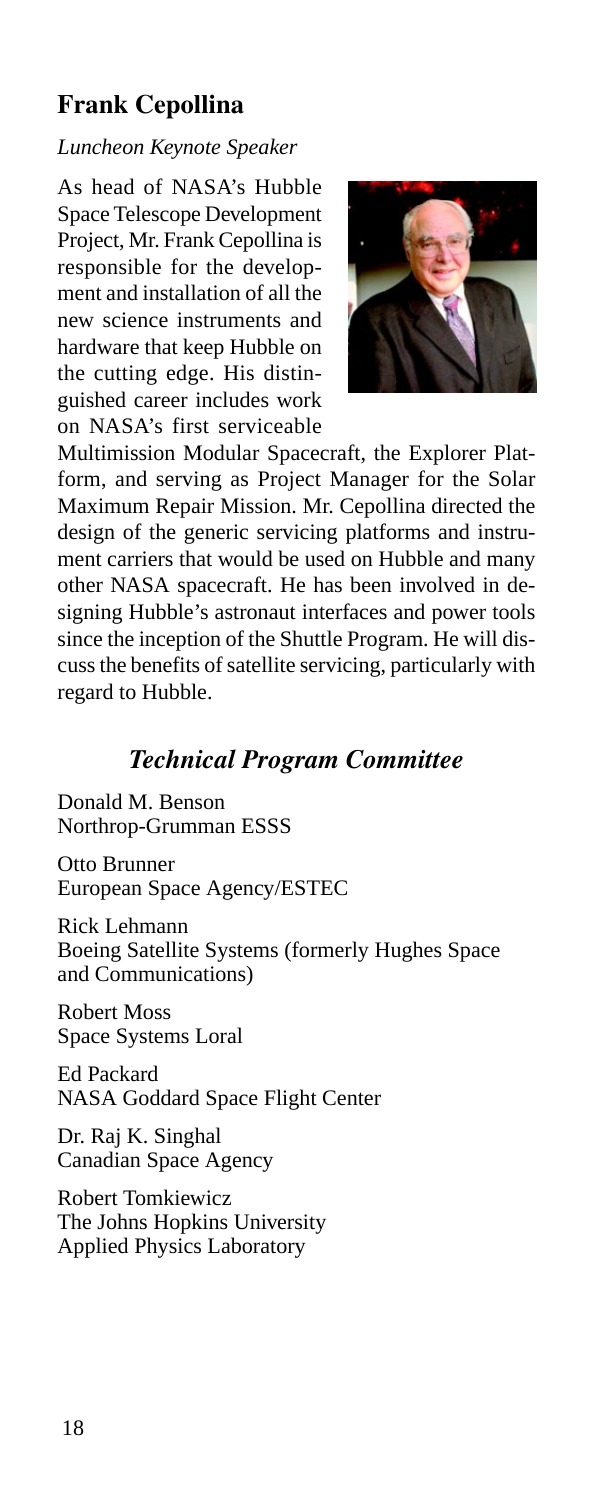### **Frank Cepollina**

#### *Luncheon Keynote Speaker*

As head of NASA's Hubble Space Telescope Development Project, Mr. Frank Cepollina is responsible for the development and installation of all the new science instruments and hardware that keep Hubble on the cutting edge. His distinguished career includes work on NASA's first serviceable



Multimission Modular Spacecraft, the Explorer Platform, and serving as Project Manager for the Solar Maximum Repair Mission. Mr. Cepollina directed the design of the generic servicing platforms and instrument carriers that would be used on Hubble and many other NASA spacecraft. He has been involved in designing Hubble's astronaut interfaces and power tools since the inception of the Shuttle Program. He will discuss the benefits of satellite servicing, particularly with regard to Hubble.

### *Technical Program Committee*

Donald M. Benson Northrop-Grumman ESSS

Otto Brunner European Space Agency/ESTEC

Rick Lehmann Boeing Satellite Systems (formerly Hughes Space and Communications)

Robert Moss Space Systems Loral

Ed Packard NASA Goddard Space Flight Center

Dr. Raj K. Singhal Canadian Space Agency

Robert Tomkiewicz The Johns Hopkins University Applied Physics Laboratory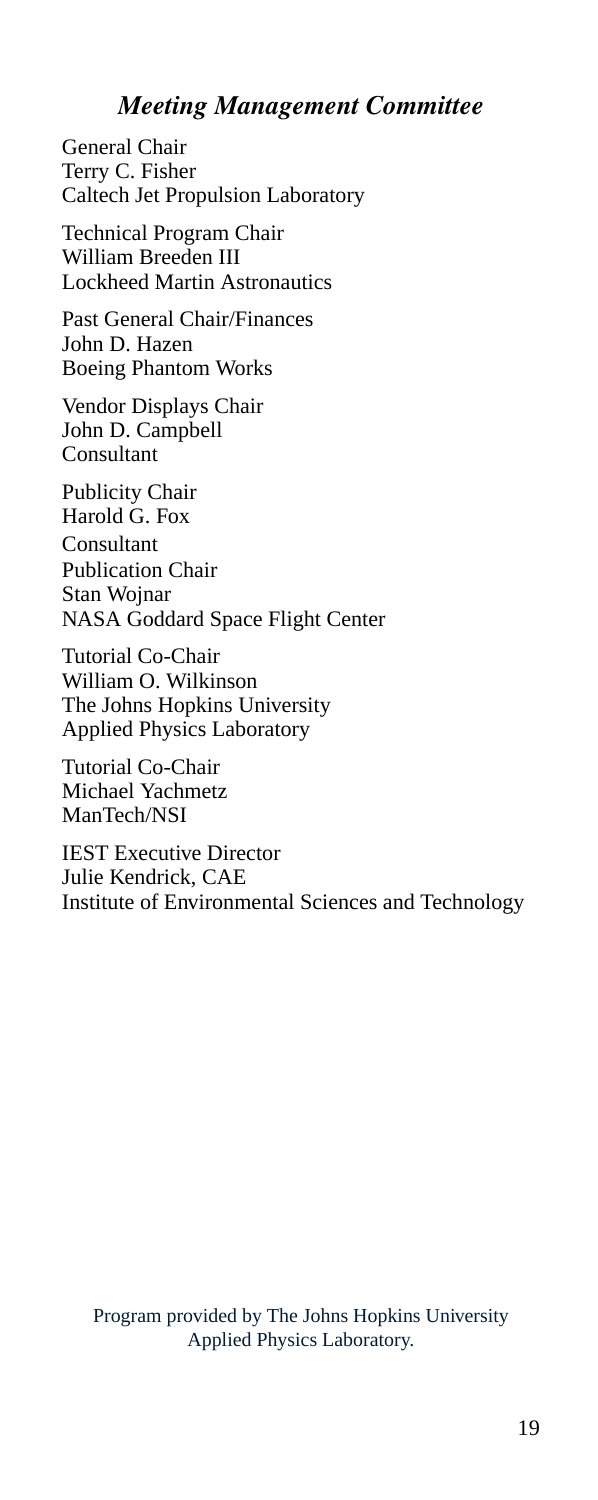### *Meeting Management Committee*

General Chair Terry C. Fisher Caltech Jet Propulsion Laboratory

Technical Program Chair William Breeden III Lockheed Martin Astronautics

Past General Chair/Finances John D. Hazen Boeing Phantom Works

Vendor Displays Chair John D. Campbell Consultant

Publicity Chair Harold G. Fox Consultant Publication Chair Stan Wojnar NASA Goddard Space Flight Center

Tutorial Co-Chair William O. Wilkinson The Johns Hopkins University Applied Physics Laboratory

Tutorial Co-Chair Michael Yachmetz ManTech/NSI

IEST Executive Director Julie Kendrick, CAE Institute of Environmental Sciences and Technology

Program provided by The Johns Hopkins University Applied Physics Laboratory.